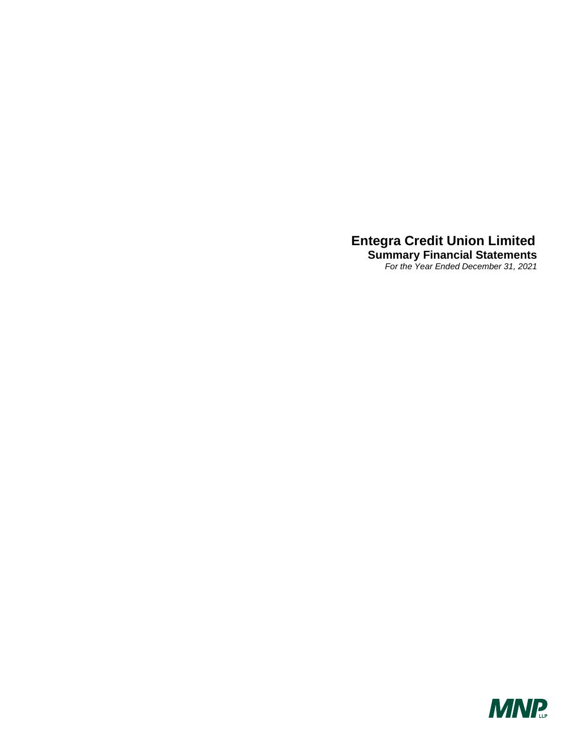**Summary Financial Statements**  *For the Year Ended December 31, 2021*

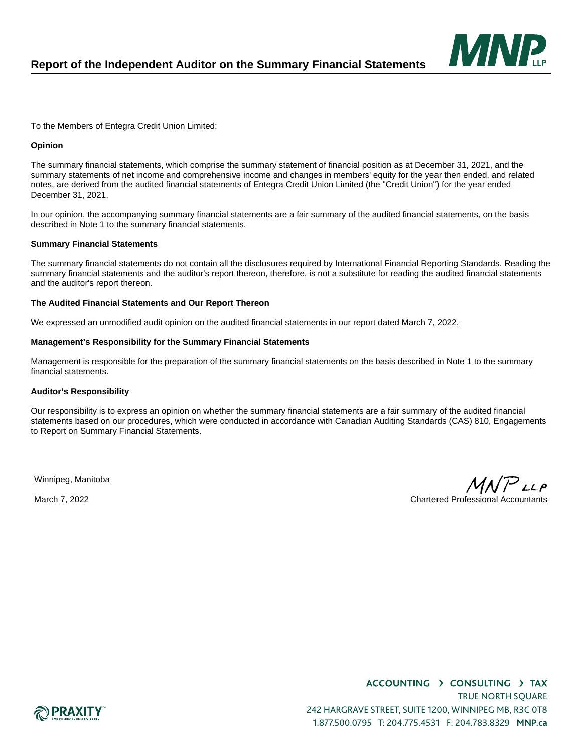

To the Members of Entegra Credit Union Limited:

### **Opinion**

The summary financial statements, which comprise the summary statement of financial position as at December 31, 2021, and the summary statements of net income and comprehensive income and changes in members' equity for the year then ended, and related notes, are derived from the audited financial statements of Entegra Credit Union Limited (the "Credit Union") for the year ended December 31, 2021.

In our opinion, the accompanying summary financial statements are a fair summary of the audited financial statements, on the basis described in Note 1 to the summary financial statements.

### **Summary Financial Statements**

The summary financial statements do not contain all the disclosures required by International Financial Reporting Standards. Reading the summary financial statements and the auditor's report thereon, therefore, is not a substitute for reading the audited financial statements and the auditor's report thereon.

### **The Audited Financial Statements and Our Report Thereon**

We expressed an unmodified audit opinion on the audited financial statements in our report dated March 7, 2022.

#### **Management's Responsibility for the Summary Financial Statements**

Management is responsible for the preparation of the summary financial statements on the basis described in Note 1 to the summary financial statements.

#### **Auditor's Responsibility**

Our responsibility is to express an opinion on whether the summary financial statements are a fair summary of the audited financial statements based on our procedures, which were conducted in accordance with Canadian Auditing Standards (CAS) 810, Engagements to Report on Summary Financial Statements.

Winnipeg, Manitoba

 $\mathcal P$ LLP March 7, 2022 Chartered Professional Accountants

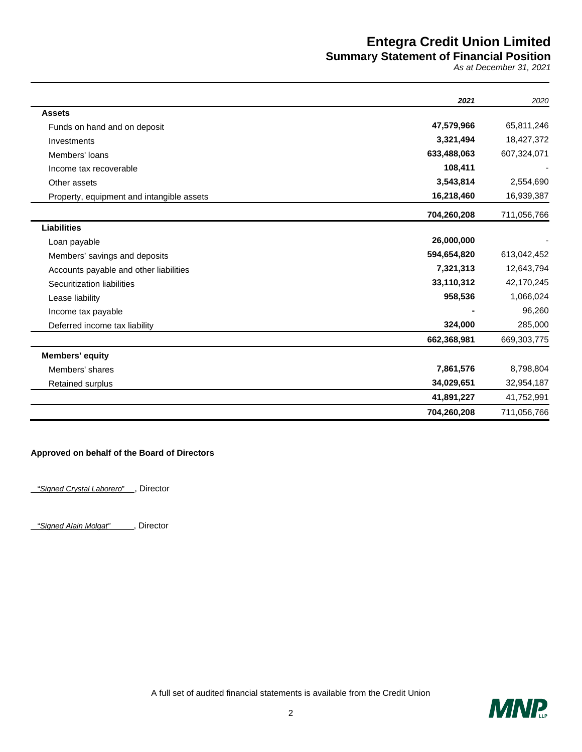### **Summary Statement of Financial Position**

*As at December 31, 2021* 

|                                           | 2021        | 2020        |
|-------------------------------------------|-------------|-------------|
| <b>Assets</b>                             |             |             |
| Funds on hand and on deposit              | 47,579,966  | 65,811,246  |
| Investments                               | 3,321,494   | 18,427,372  |
| Members' loans                            | 633,488,063 | 607,324,071 |
| Income tax recoverable                    | 108,411     |             |
| Other assets                              | 3,543,814   | 2,554,690   |
| Property, equipment and intangible assets | 16,218,460  | 16,939,387  |
|                                           | 704,260,208 | 711,056,766 |
| <b>Liabilities</b>                        |             |             |
| Loan payable                              | 26,000,000  |             |
| Members' savings and deposits             | 594,654,820 | 613,042,452 |
| Accounts payable and other liabilities    | 7,321,313   | 12,643,794  |
| Securitization liabilities                | 33,110,312  | 42,170,245  |
| Lease liability                           | 958,536     | 1,066,024   |
| Income tax payable                        |             | 96,260      |
| Deferred income tax liability             | 324,000     | 285,000     |
|                                           | 662,368,981 | 669,303,775 |
| <b>Members' equity</b>                    |             |             |
| Members' shares                           | 7,861,576   | 8,798,804   |
| Retained surplus                          | 34,029,651  | 32,954,187  |
|                                           | 41,891,227  | 41,752,991  |
|                                           | 704,260,208 | 711,056,766 |

### **Approved on behalf of the Board of Directors**

"*Signed Crystal Laborero*" , Director

"*Signed Alain Molgat"* , Director

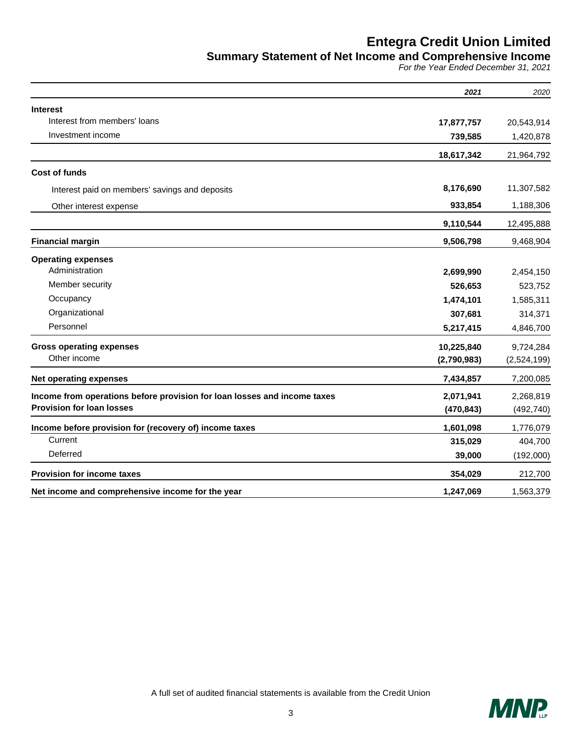**Summary Statement of Net Income and Comprehensive Income** 

*For the Year Ended December 31, 2021* 

|                                                                          | 2021        | 2020        |
|--------------------------------------------------------------------------|-------------|-------------|
| <b>Interest</b>                                                          |             |             |
| Interest from members' loans                                             | 17,877,757  | 20,543,914  |
| Investment income                                                        | 739,585     | 1,420,878   |
|                                                                          | 18,617,342  | 21,964,792  |
| <b>Cost of funds</b>                                                     |             |             |
| Interest paid on members' savings and deposits                           | 8,176,690   | 11,307,582  |
| Other interest expense                                                   | 933,854     | 1,188,306   |
|                                                                          | 9,110,544   | 12,495,888  |
| <b>Financial margin</b>                                                  | 9,506,798   | 9,468,904   |
| <b>Operating expenses</b>                                                |             |             |
| Administration                                                           | 2,699,990   | 2,454,150   |
| Member security                                                          | 526,653     | 523,752     |
| Occupancy                                                                | 1,474,101   | 1,585,311   |
| Organizational                                                           | 307,681     | 314,371     |
| Personnel                                                                | 5,217,415   | 4,846,700   |
| <b>Gross operating expenses</b>                                          | 10,225,840  | 9,724,284   |
| Other income                                                             | (2,790,983) | (2,524,199) |
| <b>Net operating expenses</b>                                            | 7,434,857   | 7,200,085   |
| Income from operations before provision for loan losses and income taxes | 2,071,941   | 2,268,819   |
| <b>Provision for loan losses</b>                                         | (470, 843)  | (492, 740)  |
| Income before provision for (recovery of) income taxes                   | 1,601,098   | 1,776,079   |
| Current                                                                  | 315,029     | 404,700     |
| Deferred                                                                 | 39,000      | (192,000)   |
| <b>Provision for income taxes</b>                                        | 354,029     | 212,700     |
| Net income and comprehensive income for the year                         | 1,247,069   | 1,563,379   |

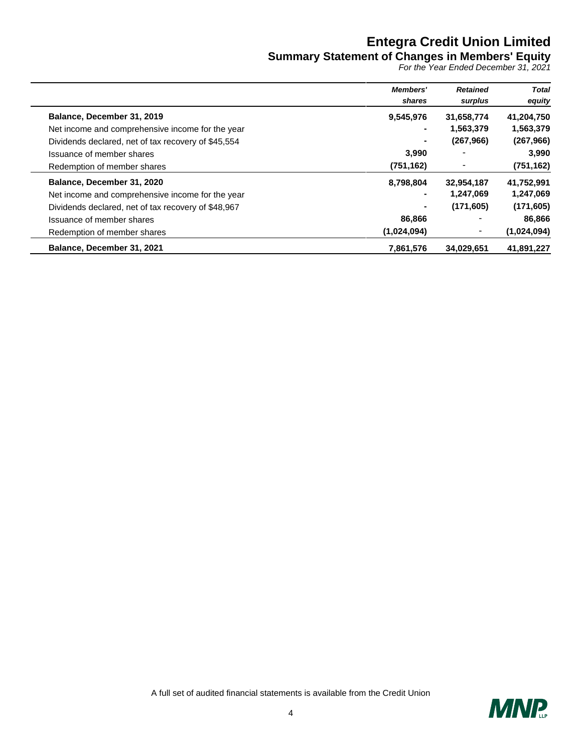### **Summary Statement of Changes in Members' Equity**

*For the Year Ended December 31, 2021*

|                                                     | <b>Members'</b><br>shares | <b>Retained</b><br>surplus | <b>Total</b><br>equity |
|-----------------------------------------------------|---------------------------|----------------------------|------------------------|
| Balance, December 31, 2019                          | 9,545,976                 | 31,658,774                 | 41,204,750             |
| Net income and comprehensive income for the year    | $\blacksquare$            | 1,563,379                  | 1,563,379              |
| Dividends declared, net of tax recovery of \$45,554 | ۰                         | (267,966)                  | (267, 966)             |
| Issuance of member shares                           | 3,990                     |                            | 3,990                  |
| Redemption of member shares                         | (751, 162)                |                            | (751, 162)             |
| Balance, December 31, 2020                          | 8,798,804                 | 32,954,187                 | 41,752,991             |
| Net income and comprehensive income for the year    | ۰                         | 1,247,069                  | 1,247,069              |
| Dividends declared, net of tax recovery of \$48,967 | ٠                         | (171, 605)                 | (171, 605)             |
| Issuance of member shares                           | 86,866                    |                            | 86,866                 |
| Redemption of member shares                         | (1,024,094)               | ٠                          | (1,024,094)            |
| Balance, December 31, 2021                          | 7,861,576                 | 34.029.651                 | 41,891,227             |

 $\overline{\phantom{0}}$ 

÷

 $\overline{a}$ 

 $\overline{a}$  $\overline{\phantom{0}}$ 

A full set of audited financial statements is available from the Credit Union